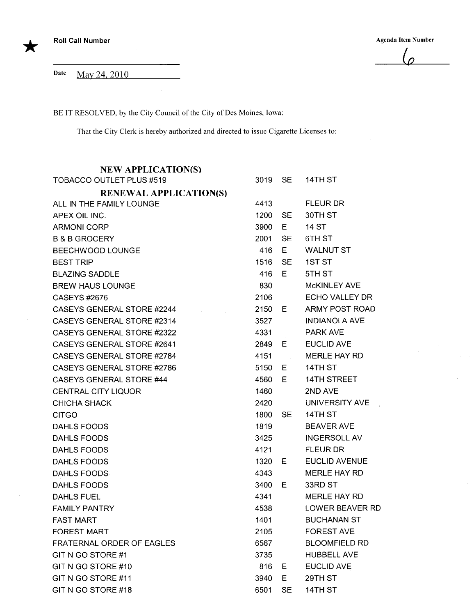\*

Agenda Item Number

 $\overline{p}$ 

Date May 24, 2010

BE IT RESOLVED, by the City Council of the City of Des Moines, Iowa:

That the City Clerk is hereby authorized and directed to issue Cigarette Licenses to:

| <b>NEW APPLICATION(S)</b>       |      |           |                      |
|---------------------------------|------|-----------|----------------------|
| <b>TOBACCO OUTLET PLUS #519</b> | 3019 | SE.       | 14TH ST              |
| <b>RENEWAL APPLICATION(S)</b>   |      |           |                      |
| ALL IN THE FAMILY LOUNGE        | 4413 |           | <b>FLEUR DR</b>      |
| APEX OIL INC.                   | 1200 | SE.       | 30TH ST              |
| <b>ARMONI CORP</b>              | 3900 | E.        | 14 ST                |
| <b>B &amp; B GROCERY</b>        | 2001 | <b>SE</b> | 6TH ST               |
| BEECHWOOD LOUNGE                | 416  | E         | <b>WALNUT ST</b>     |
| <b>BEST TRIP</b>                | 1516 | SE        | 1ST ST               |
| <b>BLAZING SADDLE</b>           | 416  | Е         | 5TH ST               |
| <b>BREW HAUS LOUNGE</b>         | 830  |           | <b>MCKINLEY AVE</b>  |
| CASEYS #2676                    | 2106 |           | ECHO VALLEY DR       |
| CASEYS GENERAL STORE #2244      | 2150 | - E -     | ARMY POST ROAD       |
| CASEYS GENERAL STORE #2314      | 3527 |           | <b>INDIANOLA AVE</b> |
| CASEYS GENERAL STORE #2322      | 4331 |           | <b>PARK AVE</b>      |
| CASEYS GENERAL STORE #2641      | 2849 | E.        | <b>EUCLID AVE</b>    |
| CASEYS GENERAL STORE #2784      | 4151 |           | <b>MERLE HAY RD</b>  |
| CASEYS GENERAL STORE #2786      | 5150 | E.        | 14TH ST              |
| <b>CASEYS GENERAL STORE #44</b> | 4560 | E.        | <b>14TH STREET</b>   |
| <b>CENTRAL CITY LIQUOR</b>      | 1460 |           | 2ND AVE              |
| <b>CHICHA SHACK</b>             | 2420 |           | UNIVERSITY AVE       |
| <b>CITGO</b>                    | 1800 | SE.       | 14TH ST              |
| DAHLS FOODS                     | 1819 |           | <b>BEAVER AVE</b>    |
| <b>DAHLS FOODS</b>              | 3425 |           | <b>INGERSOLL AV</b>  |
| DAHLS FOODS                     | 4121 |           | <b>FLEUR DR</b>      |
| DAHLS FOODS                     | 1320 | E.        | EUCLID AVENUE        |
| <b>DAHLS FOODS</b>              | 4343 |           | <b>MERLE HAY RD</b>  |
| DAHLS FOODS                     | 3400 | E.        | 33RD ST              |
| <b>DAHLS FUEL</b>               | 4341 |           | <b>MERLE HAY RD</b>  |
| <b>FAMILY PANTRY</b>            | 4538 |           | LOWER BEAVER RD      |
| <b>FAST MART</b>                | 1401 |           | <b>BUCHANAN ST</b>   |
| <b>FOREST MART</b>              | 2105 |           | <b>FOREST AVE</b>    |
| FRATERNAL ORDER OF EAGLES       | 6567 |           | <b>BLOOMFIELD RD</b> |
| GIT N GO STORE #1               | 3735 |           | <b>HUBBELL AVE</b>   |
| GIT N GO STORE #10              | 816  | E.        | <b>EUCLID AVE</b>    |
| GIT N GO STORE #11              | 3940 | Е         | 29TH ST              |
| GIT N GO STORE #18              | 6501 | <b>SE</b> | 14TH ST              |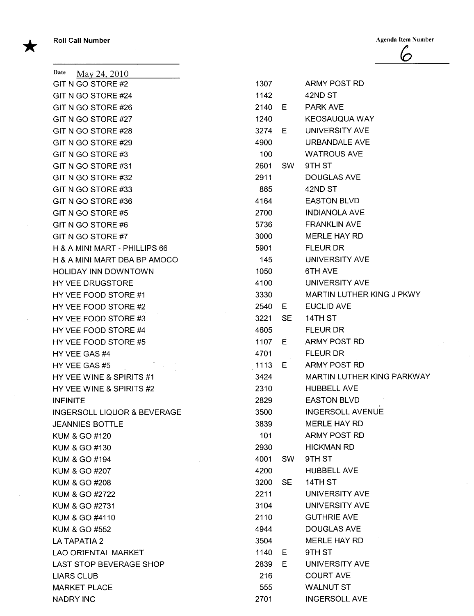\*

 $\lambda$ 

**Roll Call Number** Agenda Item Number Agenda Item Number  $\mathcal{C}$ 

| Date<br>May 24, 2010                   |      |           |                          |
|----------------------------------------|------|-----------|--------------------------|
| GIT N GO STORE #2                      | 1307 |           | ARMY POST RD             |
| GIT N GO STORE #24                     | 1142 |           | 42ND ST                  |
| GIT N GO STORE #26                     | 2140 | E.        | <b>PARK AVE</b>          |
| GIT N GO STORE #27                     | 1240 |           | <b>KEOSAUQUA WAY</b>     |
| GIT N GO STORE #28                     | 3274 | E.        | UNIVERSITY AVE           |
| GIT N GO STORE #29                     | 4900 |           | <b>URBANDALE AVE</b>     |
| GIT N GO STORE #3                      | 100  |           | <b>WATROUS AVE</b>       |
| GIT N GO STORE #31                     | 2601 | SW -      | 9TH ST                   |
| GIT N GO STORE #32                     | 2911 |           | <b>DOUGLAS AVE</b>       |
| GIT N GO STORE #33                     | 865  |           | 42ND ST                  |
| GIT N GO STORE #36                     | 4164 |           | <b>EASTON BLVD</b>       |
| GIT N GO STORE #5                      | 2700 |           | <b>INDIANOLA AVE</b>     |
| GIT N GO STORE #6                      | 5736 |           | <b>FRANKLIN AVE</b>      |
| GIT N GO STORE #7                      | 3000 |           | MERLE HAY RD             |
| H & A MINI MART - PHILLIPS 66          | 5901 |           | <b>FLEUR DR</b>          |
| H & A MINI MART DBA BP AMOCO           | 145  |           | <b>UNIVERSITY AVE</b>    |
| <b>HOLIDAY INN DOWNTOWN</b>            | 1050 |           | 6TH AVE                  |
| HY VEE DRUGSTORE                       | 4100 |           | <b>UNIVERSITY AVE</b>    |
| HY VEE FOOD STORE #1                   | 3330 |           | <b>MARTIN LUTHER KIN</b> |
| HY VEE FOOD STORE #2                   | 2540 | E         | <b>EUCLID AVE</b>        |
| HY VEE FOOD STORE #3                   | 3221 | <b>SE</b> | 14TH ST                  |
| HY VEE FOOD STORE #4                   | 4605 |           | <b>FLEUR DR</b>          |
| HY VEE FOOD STORE #5                   | 1107 | E.        | ARMY POST RD             |
| HY VEE GAS #4                          | 4701 |           | <b>FLEUR DR</b>          |
| HY VEE GAS #5                          | 1113 | $E =$     | ARMY POST RD             |
| HY VEE WINE & SPIRITS #1               | 3424 |           | <b>MARTIN LUTHER KIN</b> |
| HY VEE WINE & SPIRITS #2               | 2310 |           | <b>HUBBELL AVE</b>       |
| <b>INFINITE</b>                        | 2829 |           | <b>EASTON BLVD</b>       |
| <b>INGERSOLL LIQUOR &amp; BEVERAGE</b> | 3500 |           | <b>INGERSOLL AVENUE</b>  |
| <b>JEANNIES BOTTLE</b>                 | 3839 |           | <b>MERLE HAY RD</b>      |
| KUM & GO #120                          | 101  |           | ARMY POST RD             |
| KUM & GO #130                          | 2930 |           | <b>HICKMAN RD</b>        |
| KUM & GO #194                          | 4001 | SW.       | 9TH ST                   |
| KUM & GO #207                          | 4200 |           | <b>HUBBELL AVE</b>       |
| KUM & GO #208                          | 3200 | <b>SE</b> | 14TH ST                  |
| KUM & GO #2722                         | 2211 |           | UNIVERSITY AVE           |
| KUM & GO #2731                         | 3104 |           | UNIVERSITY AVE           |
| KUM & GO #4110                         | 2110 |           | <b>GUTHRIE AVE</b>       |
| KUM & GO #552                          | 4944 |           | DOUGLAS AVE              |
| LA TAPATIA 2                           | 3504 |           | MERLE HAY RD             |
| <b>LAO ORIENTAL MARKET</b>             | 1140 | E.        | 9TH ST                   |
| LAST STOP BEVERAGE SHOP                | 2839 | Е         | UNIVERSITY AVE           |
| <b>LIARS CLUB</b>                      | 216  |           | <b>COURT AVE</b>         |
| <b>MARKET PLACE</b>                    | 555  |           | <b>WALNUT ST</b>         |
| <b>NADRY INC</b>                       | 2701 |           | <b>INGERSOLL AVE</b>     |

| GIT N GO STORE #2             | 1307   |       | ARMY POST RD               |
|-------------------------------|--------|-------|----------------------------|
| GIT N GO STORE #24            | 1142   |       | 42ND ST                    |
| GIT N GO STORE #26            | 2140 E |       | <b>PARK AVE</b>            |
| GIT N GO STORE #27            | 1240   |       | KEOSAUQUA WAY              |
| GIT N GO STORE #28            | 3274 E |       | UNIVERSITY AVE             |
| GIT N GO STORE #29            | 4900   |       | URBANDALE AVE              |
| GIT N GO STORE #3             | 100    |       | <b>WATROUS AVE</b>         |
| GIT N GO STORE #31            | 2601   | SW    | 9TH ST                     |
| GIT N GO STORE #32            | 2911   |       | DOUGLAS AVE                |
| GIT N GO STORE #33            | 865    |       | 42ND ST                    |
| GIT N GO STORE #36            | 4164   |       | <b>EASTON BLVD</b>         |
| GIT N GO STORE #5             | 2700   |       | <b>INDIANOLA AVE</b>       |
| GIT N GO STORE #6             | 5736   |       | <b>FRANKLIN AVE</b>        |
| GIT N GO STORE #7             | 3000   |       | MERLE HAY RD               |
| H & A MINI MART - PHILLIPS 66 | 5901   |       | <b>FLEUR DR</b>            |
| H & A MINI MART DBA BP AMOCO  | 145    |       | UNIVERSITY AVE             |
| HOLIDAY INN DOWNTOWN          | 1050   |       | 6TH AVE                    |
| HY VEE DRUGSTORE              | 4100   |       | UNIVERSITY AVE             |
| HY VEE FOOD STORE #1          | 3330   |       | MARTIN LUTHER KING J PKWY  |
| HY VEE FOOD STORE #2          | 2540   | - E - | <b>EUCLID AVE</b>          |
| HY VEE FOOD STORE #3          | 3221   | SE    | 14TH ST                    |
| HY VEE FOOD STORE #4          | 4605   |       | <b>FLEUR DR</b>            |
| HY VEE FOOD STORE #5          | 1107   | - E i | ARMY POST RD               |
| HY VEE GAS #4                 | 4701   |       | <b>FLEUR DR</b>            |
| HY VEE GAS #5                 | 1113 E |       | ARMY POST RD               |
| HY VEE WINE & SPIRITS #1      | 3424   |       | MARTIN LUTHER KING PARKWAY |
| HY VEE WINE & SPIRITS #2      | 2310   |       | <b>HUBBELL AVE</b>         |
| INFINITE                      | 2829   |       | <b>EASTON BLVD</b>         |
| INGERSOLL LIQUOR & BEVERAGE   | 3500   |       | <b>INGERSOLL AVENUE</b>    |
| JEANNIES BOTTLE               | 3839   |       | <b>MERLE HAY RD</b>        |
| KUM & GO #120                 | 101    |       | ARMY POST RD               |
| KUM & GO #130                 | 2930   |       | <b>HICKMAN RD</b>          |
| KUM & GO #194                 | 4001   | SW.   | 9TH ST                     |
| KUM & GO #207                 | 4200   |       | <b>HUBBELL AVE</b>         |
| KUM & GO #208                 | 3200   | SE.   | 14TH ST                    |
| KUM & GO #2722                | 2211   |       | UNIVERSITY AVE             |
| KUM & GO #2731                | 3104   |       | UNIVERSITY AVE             |
| KUM & GO #4110                | 2110   |       | <b>GUTHRIE AVE</b>         |
| KUM & GO #552                 | 4944   |       | DOUGLAS AVE                |
| LA TAPATIA 2                  | 3504   |       | MERLE HAY RD               |
| LAO ORIENTAL MARKET           | 1140   | E.    | 9TH ST                     |
| LAST STOP BEVERAGE SHOP       | 2839   | E.    | UNIVERSITY AVE             |
| LIARS CLUB                    | 216    |       | <b>COURT AVE</b>           |
| MARKET PLACE                  | 555    |       | <b>WALNUT ST</b>           |
| NADRY INC                     | 2701   |       | <b>INGERSOLL AVE</b>       |
|                               |        |       |                            |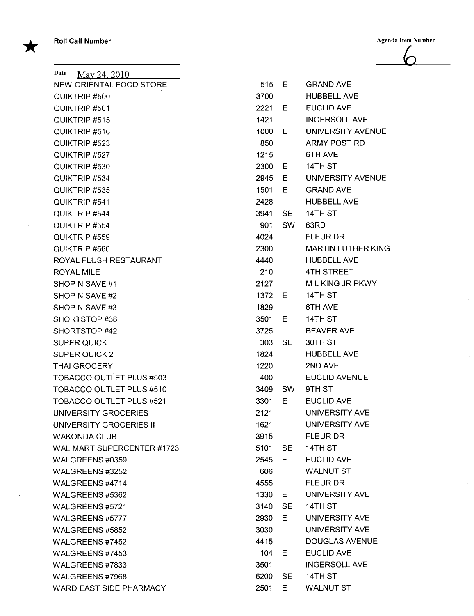**Roll Call Number** Agenda Item Number Agenda Item Number

\*

 $\overline{6}$ 

| Date<br>May 24, 2010            |      |           |                           |
|---------------------------------|------|-----------|---------------------------|
| NEW ORIENTAL FOOD STORE         | 515  | Е         | <b>GRAND AVE</b>          |
| QUIKTRIP #500                   | 3700 |           | <b>HUBBELL AVE</b>        |
| QUIKTRIP #501                   | 2221 | Е         | <b>EUCLID AVE</b>         |
| QUIKTRIP #515                   | 1421 |           | <b>INGERSOLL AVE</b>      |
| QUIKTRIP #516                   | 1000 | E.        | UNIVERSITY AVENUE         |
| QUIKTRIP #523                   | 850  |           | ARMY POST RD              |
| QUIKTRIP #527                   | 1215 |           | 6TH AVE                   |
| QUIKTRIP #530                   | 2300 | Е         | 14TH ST                   |
| QUIKTRIP #534                   | 2945 | Е         | UNIVERSITY AVENUE         |
| QUIKTRIP #535                   | 1501 | E.        | <b>GRAND AVE</b>          |
| QUIKTRIP #541                   | 2428 |           | <b>HUBBELL AVE</b>        |
| QUIKTRIP #544                   | 3941 | <b>SE</b> | 14TH ST                   |
| QUIKTRIP #554                   | 901  | <b>SW</b> | 63RD                      |
| QUIKTRIP #559                   | 4024 |           | <b>FLEUR DR</b>           |
| QUIKTRIP #560                   | 2300 |           | <b>MARTIN LUTHER KING</b> |
| ROYAL FLUSH RESTAURANT          | 4440 |           | <b>HUBBELL AVE</b>        |
| <b>ROYAL MILE</b>               | 210  |           | <b>4TH STREET</b>         |
| SHOP N SAVE #1                  | 2127 |           | M L KING JR PKWY          |
| SHOP N SAVE #2                  | 1372 | Е         | 14TH ST                   |
| SHOP N SAVE #3                  | 1829 |           | 6TH AVE                   |
| SHORTSTOP#38                    | 3501 | Е         | 14TH ST                   |
| SHORTSTOP #42                   | 3725 |           | <b>BEAVER AVE</b>         |
| <b>SUPER QUICK</b>              | 303  | <b>SE</b> | 30TH ST                   |
| <b>SUPER QUICK 2</b>            | 1824 |           | <b>HUBBELL AVE</b>        |
| <b>THAI GROCERY</b>             | 1220 |           | 2ND AVE                   |
| <b>TOBACCO OUTLET PLUS #503</b> | 400  |           | <b>EUCLID AVENUE</b>      |
| <b>TOBACCO OUTLET PLUS #510</b> | 3409 | <b>SW</b> | 9TH ST                    |
| <b>TOBACCO OUTLET PLUS #521</b> | 3301 | Е         | <b>EUCLID AVE</b>         |
| UNIVERSITY GROCERIES            | 2121 |           | UNIVERSITY AVE            |
| UNIVERSITY GROCERIES II         | 1621 |           | UNIVERSITY AVE            |
| <b>WAKONDA CLUB</b>             | 3915 |           | <b>FLEUR DR</b>           |
| WAL MART SUPERCENTER #1723      | 5101 | <b>SE</b> | 14TH ST                   |
| WALGREENS #0359                 | 2545 | Е         | <b>EUCLID AVE</b>         |
| WALGREENS #3252                 | 606  |           | <b>WALNUT ST</b>          |
| WALGREENS #4714                 | 4555 |           | <b>FLEUR DR</b>           |
| WALGREENS #5362                 | 1330 | Е         | UNIVERSITY AVE            |
| WALGREENS #5721                 | 3140 | <b>SE</b> | 14TH ST                   |
| WALGREENS #5777                 | 2930 | Е         | <b>UNIVERSITY AVE</b>     |
| WALGREENS #5852                 | 3030 |           | UNIVERSITY AVE            |
| WALGREENS #7452                 | 4415 |           | <b>DOUGLAS AVENUE</b>     |
| WALGREENS #7453                 | 104  | Е         | <b>EUCLID AVE</b>         |
| WALGREENS #7833                 | 3501 |           | <b>INGERSOLL AVE</b>      |
| WALGREENS #7968                 | 6200 | <b>SE</b> | 14TH ST                   |
| WARD EAST SIDE PHARMACY         | 2501 | E         | <b>WALNUT ST</b>          |

| 515    | ヒ         | GRAND AVE                 |
|--------|-----------|---------------------------|
| 3700   |           | HUBBELL AVE               |
| 2221 E |           | <b>EUCLID AVE</b>         |
| 1421   |           | <b>INGERSOLL AVE</b>      |
| 1000   | Е         | <b>UNIVERSITY AVENUE</b>  |
| 850    |           | <b>ARMY POST RD</b>       |
| 1215   |           | 6TH AVE                   |
| 2300   | E         | 14TH ST                   |
| 2945 E |           | <b>UNIVERSITY AVENUE</b>  |
| 1501   | E         | <b>GRAND AVE</b>          |
| 2428   |           | <b>HUBBELL AVE</b>        |
| 3941   | SE.       | 14TH ST                   |
| 901 -  | SW        | 63RD                      |
| 4024   |           | FLEUR DR                  |
| 2300   |           | <b>MARTIN LUTHER KING</b> |
| 4440   |           | <b>HUBBELL AVE</b>        |
| 210    |           | <b>4TH STREET</b>         |
| 2127   |           | M L KING JR PKWY          |
| 1372   | - E       | 14TH ST                   |
| 1829   |           | 6TH AVE                   |
| 3501   | E         | 14TH ST                   |
| 3725   |           | <b>BEAVER AVE</b>         |
| 303    | SE        | 30TH ST                   |
| 1824   |           | <b>HUBBELL AVE</b>        |
| 1220   |           | 2ND AVE                   |
| 400    |           | <b>EUCLID AVENUE</b>      |
| 3409   | <b>SW</b> | 9TH ST                    |
| 3301   | Ε         | <b>EUCLID AVE</b>         |
| 2121   |           | <b>UNIVERSITY AVE</b>     |
| 1621   |           | <b>UNIVERSITY AVE</b>     |
| 3915   |           | <b>FLEUR DR</b>           |
| 5101   | <b>SE</b> | 14TH ST                   |
| 2545   | Е         | <b>EUCLID AVE</b>         |
| 606    |           | <b>WALNUT ST</b>          |
| 4555   |           | <b>FLEUR DR</b>           |
| 1330   | Е         | UNIVERSITY AVE            |
| 3140   | <b>SE</b> | 14TH ST                   |
| 2930   | Е         | UNIVERSITY AVE            |
| 3030   |           | UNIVERSITY AVE            |
| 4415   |           | <b>DOUGLAS AVENUE</b>     |
| 104    | Е         | <b>EUCLID AVE</b>         |
| 3501   |           | <b>INGERSOLL AVE</b>      |
| 6200   | SЕ        | 14TH ST                   |
| 2501   | Е         | WALNUT ST                 |